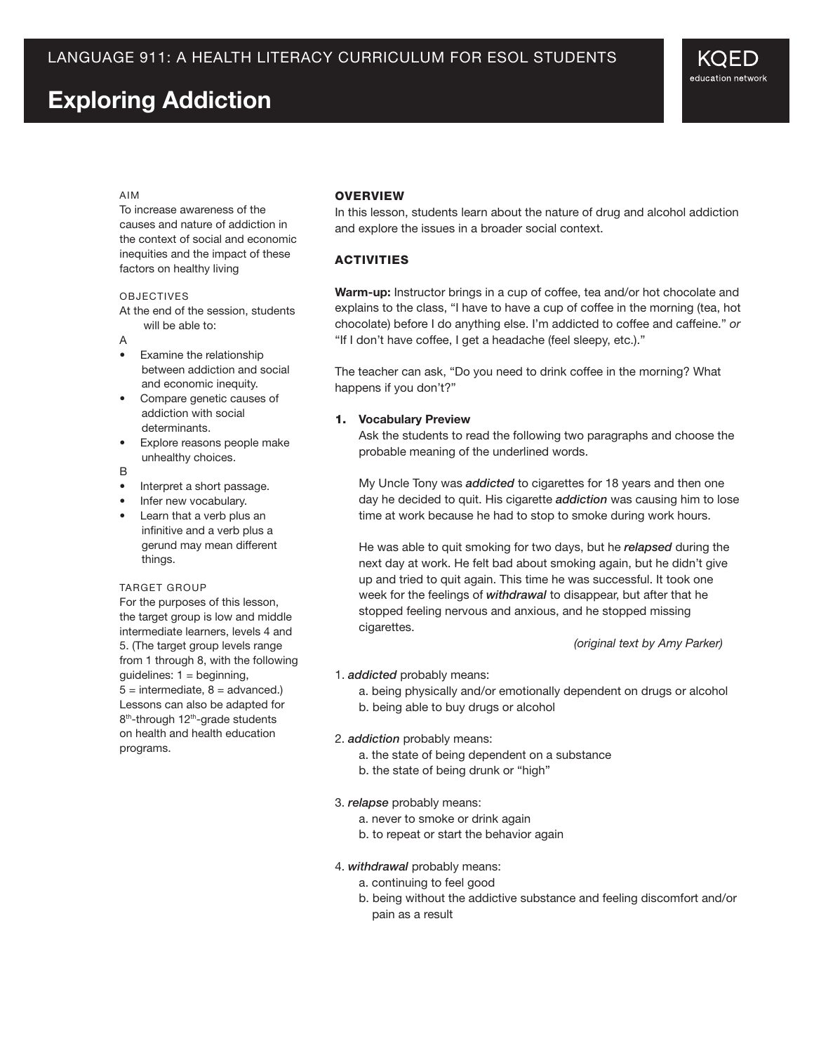# **Exploring Addiction**

#### Aim

To increase awareness of the causes and nature of addiction in the context of social and economic inequities and the impact of these factors on healthy living

#### **OBJECTIVES**

At the end of the session, students will be able to:

- A
- Examine the relationship between addiction and social and economic inequity.
- Compare genetic causes of addiction with social determinants.
- Explore reasons people make unhealthy choices.
- B
- Interpret a short passage.
- Infer new vocabulary.
- Learn that a verb plus an infinitive and a verb plus a gerund may mean different things.

#### TARGET GROUP

For the purposes of this lesson, the target group is low and middle intermediate learners, levels 4 and 5. (The target group levels range from 1 through 8, with the following guidelines:  $1 =$  beginning,  $5 =$  intermediate,  $8 =$  advanced.) Lessons can also be adapted for 8<sup>th</sup>-through 12<sup>th</sup>-grade students on health and health education programs.

# **OVERVIEW**

In this lesson, students learn about the nature of drug and alcohol addiction and explore the issues in a broader social context.

# **ACTIVITIES**

**Warm-up:** Instructor brings in a cup of coffee, tea and/or hot chocolate and explains to the class, "I have to have a cup of coffee in the morning (tea, hot chocolate) before I do anything else. I'm addicted to coffee and caffeine." *or* "If I don't have coffee, I get a headache (feel sleepy, etc.)."

The teacher can ask, "Do you need to drink coffee in the morning? What happens if you don't?"

#### 1. **Vocabulary Preview**

Ask the students to read the following two paragraphs and choose the probable meaning of the underlined words.

My Uncle Tony was *addicted* to cigarettes for 18 years and then one day he decided to quit. His cigarette *addiction* was causing him to lose time at work because he had to stop to smoke during work hours.

He was able to quit smoking for two days, but he *relapsed* during the next day at work. He felt bad about smoking again, but he didn't give up and tried to quit again. This time he was successful. It took one week for the feelings of *withdrawal* to disappear, but after that he stopped feeling nervous and anxious, and he stopped missing cigarettes.

 *(original text by Amy Parker)*

#### 1. *addicted* probably means:

a. being physically and/or emotionally dependent on drugs or alcohol

b. being able to buy drugs or alcohol

#### 2. *addiction* probably means:

- a. the state of being dependent on a substance
- b. the state of being drunk or "high"

#### 3. *relapse* probably means:

- a. never to smoke or drink again
- b. to repeat or start the behavior again

#### 4. *withdrawal* probably means:

- a. continuing to feel good
- b. being without the addictive substance and feeling discomfort and/or pain as a result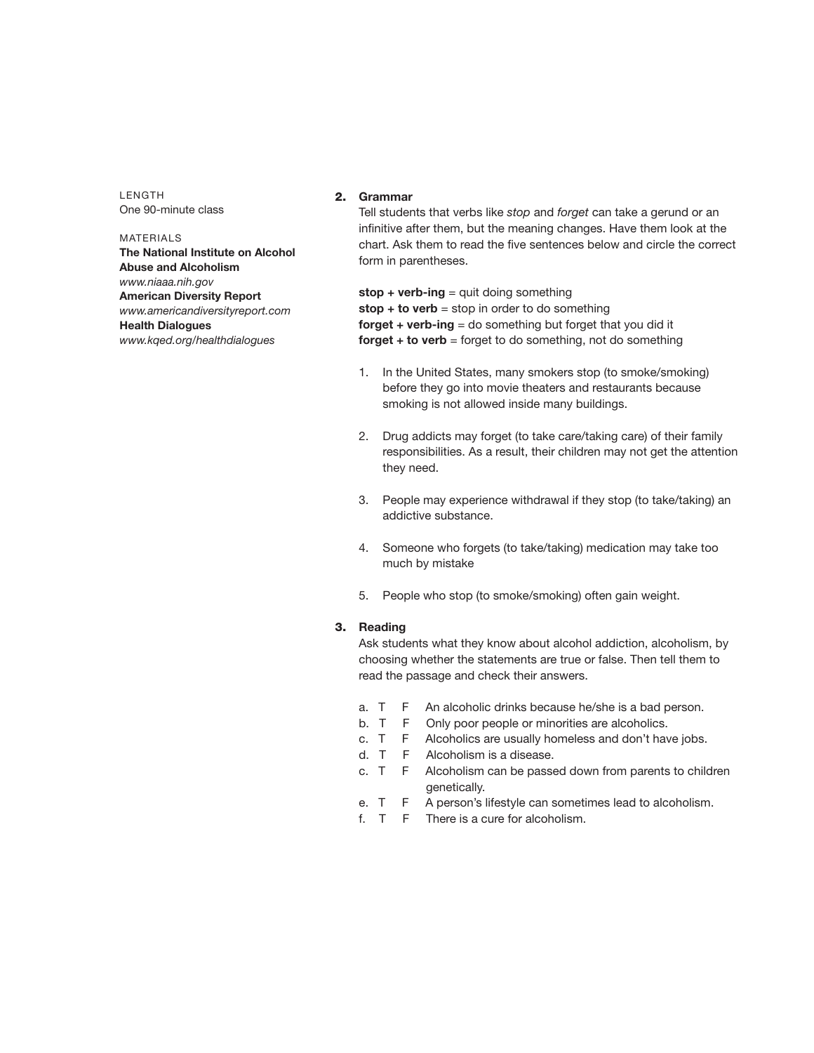LENGTH One 90-minute class

### MATERIALS **The National Institute on Alcohol Abuse and Alcoholism** *www.niaaa.nih.gov* **American Diversity Report** *www.americandiversityreport.com* **Health Dialogues** *www.kqed.org/healthdialogues*

# 2. **Grammar**

Tell students that verbs like *stop* and *forget* can take a gerund or an infinitive after them, but the meaning changes. Have them look at the chart. Ask them to read the five sentences below and circle the correct form in parentheses.

**stop + verb-ing** = quit doing something **stop + to verb** = stop in order to do something **forget + verb-ing** = do something but forget that you did it **forget + to verb** = forget to do something, not do something

- 1. In the United States, many smokers stop (to smoke/smoking) before they go into movie theaters and restaurants because smoking is not allowed inside many buildings.
- 2. Drug addicts may forget (to take care/taking care) of their family responsibilities. As a result, their children may not get the attention they need.
- 3. People may experience withdrawal if they stop (to take/taking) an addictive substance.
- 4. Someone who forgets (to take/taking) medication may take too much by mistake
- 5. People who stop (to smoke/smoking) often gain weight.

## 3. **Reading**

Ask students what they know about alcohol addiction, alcoholism, by choosing whether the statements are true or false. Then tell them to read the passage and check their answers.

- a. T F An alcoholic drinks because he/she is a bad person.
- b. T F Only poor people or minorities are alcoholics.
- c. T F Alcoholics are usually homeless and don't have jobs.
- d. T F Alcoholism is a disease.
- c. T F Alcoholism can be passed down from parents to children genetically.
- e. T F A person's lifestyle can sometimes lead to alcoholism.
- f. T F There is a cure for alcoholism.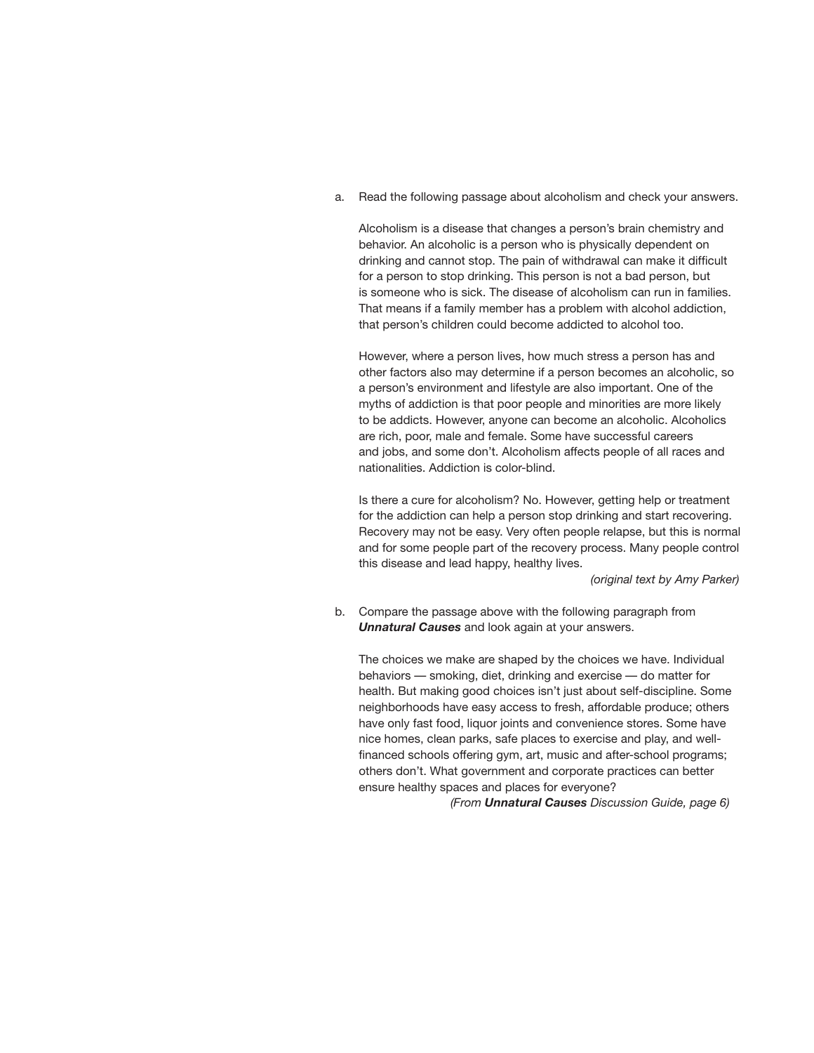a. Read the following passage about alcoholism and check your answers.

Alcoholism is a disease that changes a person's brain chemistry and behavior. An alcoholic is a person who is physically dependent on drinking and cannot stop. The pain of withdrawal can make it difficult for a person to stop drinking. This person is not a bad person, but is someone who is sick. The disease of alcoholism can run in families. That means if a family member has a problem with alcohol addiction, that person's children could become addicted to alcohol too.

However, where a person lives, how much stress a person has and other factors also may determine if a person becomes an alcoholic, so a person's environment and lifestyle are also important. One of the myths of addiction is that poor people and minorities are more likely to be addicts. However, anyone can become an alcoholic. Alcoholics are rich, poor, male and female. Some have successful careers and jobs, and some don't. Alcoholism affects people of all races and nationalities. Addiction is color-blind.

Is there a cure for alcoholism? No. However, getting help or treatment for the addiction can help a person stop drinking and start recovering. Recovery may not be easy. Very often people relapse, but this is normal and for some people part of the recovery process. Many people control this disease and lead happy, healthy lives.

 *(original text by Amy Parker)*

b. Compare the passage above with the following paragraph from *Unnatural Causes* and look again at your answers.

The choices we make are shaped by the choices we have. Individual behaviors — smoking, diet, drinking and exercise — do matter for health. But making good choices isn't just about self-discipline. Some neighborhoods have easy access to fresh, affordable produce; others have only fast food, liquor joints and convenience stores. Some have nice homes, clean parks, safe places to exercise and play, and wellfinanced schools offering gym, art, music and after-school programs; others don't. What government and corporate practices can better ensure healthy spaces and places for everyone?

 *(From Unnatural Causes Discussion Guide, page 6)*